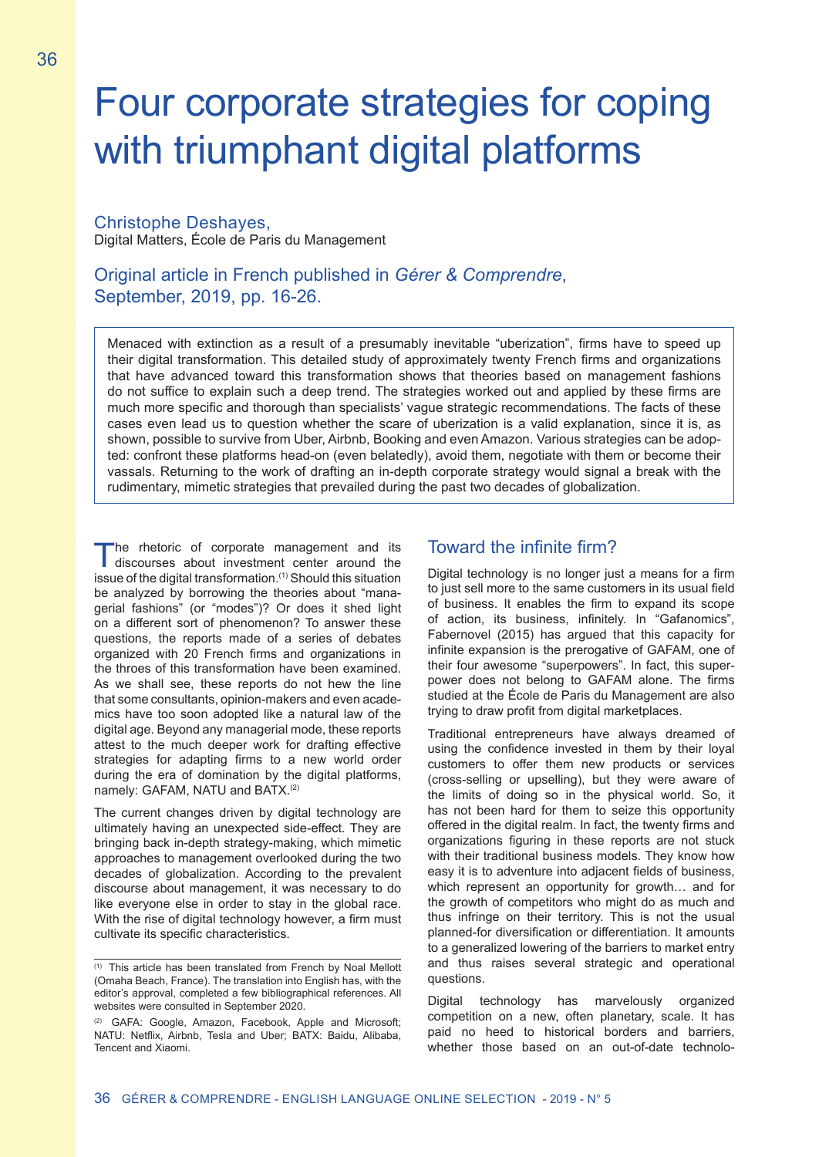# Four corporate strategies for coping with triumphant digital platforms

#### Christophe Deshayes, Digital Matters, École de Paris du Management

Original article in French published in *Gérer & Comprendre*, September, 2019, pp. 16-26.

Menaced with extinction as a result of a presumably inevitable "uberization", firms have to speed up their digital transformation. This detailed study of approximately twenty French firms and organizations that have advanced toward this transformation shows that theories based on management fashions do not suffice to explain such a deep trend. The strategies worked out and applied by these firms are much more specific and thorough than specialists' vague strategic recommendations. The facts of these cases even lead us to question whether the scare of uberization is a valid explanation, since it is, as shown, possible to survive from Uber, Airbnb, Booking and even Amazon. Various strategies can be adopted: confront these platforms head-on (even belatedly), avoid them, negotiate with them or become their vassals. Returning to the work of drafting an in-depth corporate strategy would signal a break with the rudimentary, mimetic strategies that prevailed during the past two decades of globalization.

The rhetoric of corporate management and its<br>discourses about investment center around the issue of the digital transformation.<sup>(1)</sup> Should this situation be analyzed by borrowing the theories about "managerial fashions" (or "modes")? Or does it shed light on a different sort of phenomenon? To answer these questions, the reports made of a series of debates organized with 20 French firms and organizations in the throes of this transformation have been examined. As we shall see, these reports do not hew the line that some consultants, opinion-makers and even academics have too soon adopted like a natural law of the digital age. Beyond any managerial mode, these reports attest to the much deeper work for drafting effective strategies for adapting firms to a new world order during the era of domination by the digital platforms, namely: GAFAM, NATU and BATX.<sup>(2)</sup>

The current changes driven by digital technology are ultimately having an unexpected side-effect. They are bringing back in-depth strategy-making, which mimetic approaches to management overlooked during the two decades of globalization. According to the prevalent discourse about management, it was necessary to do like everyone else in order to stay in the global race. With the rise of digital technology however, a firm must cultivate its specific characteristics.

### Toward the infinite firm?

Digital technology is no longer just a means for a firm to just sell more to the same customers in its usual field of business. It enables the firm to expand its scope of action, its business, infinitely. In "Gafanomics", Fabernovel (2015) has argued that this capacity for infinite expansion is the prerogative of GAFAM, one of their four awesome "superpowers". In fact, this superpower does not belong to GAFAM alone. The firms studied at the École de Paris du Management are also trying to draw profit from digital marketplaces.

Traditional entrepreneurs have always dreamed of using the confidence invested in them by their loyal customers to offer them new products or services (cross-selling or upselling), but they were aware of the limits of doing so in the physical world. So, it has not been hard for them to seize this opportunity offered in the digital realm. In fact, the twenty firms and organizations figuring in these reports are not stuck with their traditional business models. They know how easy it is to adventure into adjacent fields of business, which represent an opportunity for growth… and for the growth of competitors who might do as much and thus infringe on their territory. This is not the usual planned-for diversification or differentiation. It amounts to a generalized lowering of the barriers to market entry and thus raises several strategic and operational questions.

Digital technology has marvelously organized competition on a new, often planetary, scale. It has paid no heed to historical borders and barriers, whether those based on an out-of-date technolo-

<sup>(1)</sup> This article has been translated from French by Noal Mellott (Omaha Beach, France). The translation into English has, with the editor's approval, completed a few bibliographical references. All websites were consulted in September 2020.

<sup>(2)</sup> GAFA: Google, Amazon, Facebook, Apple and Microsoft; NATU: Netflix, Airbnb, Tesla and Uber; BATX: Baidu, Alibaba, Tencent and Xiaomi.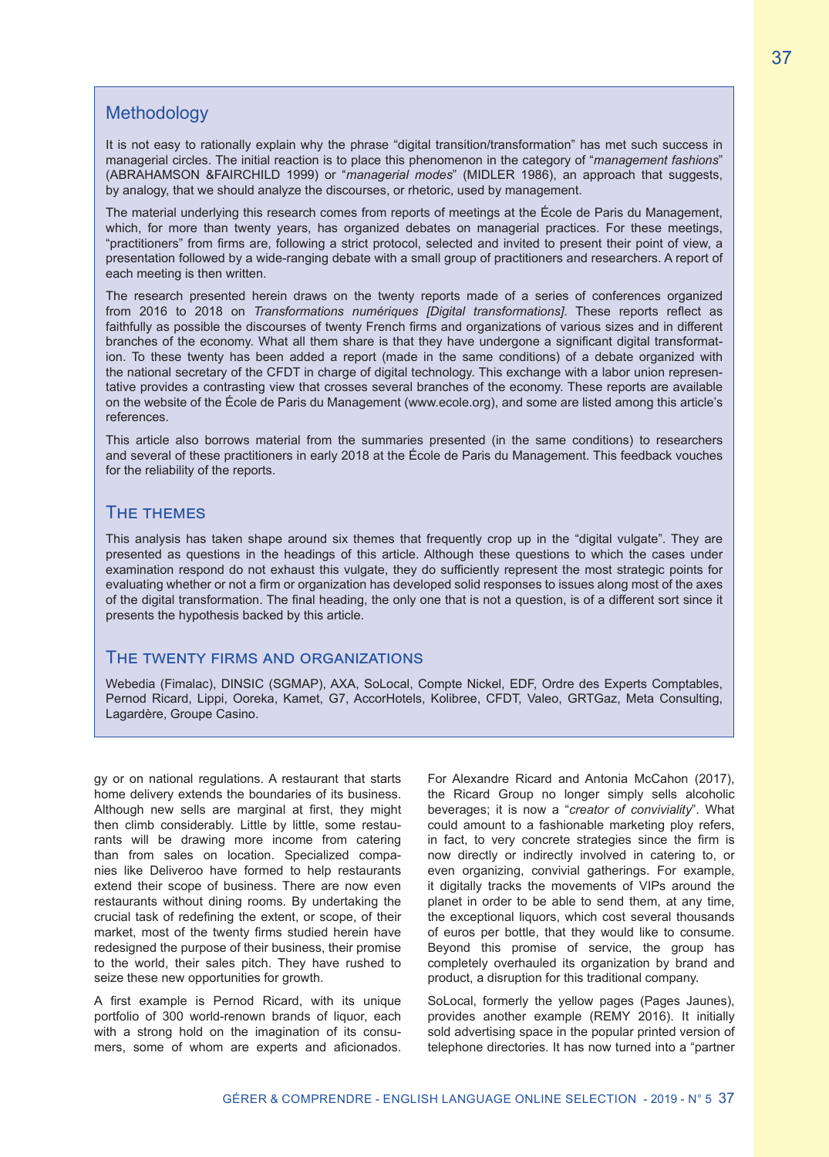## **Methodology**

It is not easy to rationally explain why the phrase "digital transition/transformation" has met such success in managerial circles. The initial reaction is to place this phenomenon in the category of "*management fashions*" (ABRAHAMSON &FAIRCHILD 1999) or "*managerial modes*" (MIDLER 1986), an approach that suggests, by analogy, that we should analyze the discourses, or rhetoric, used by management.

The material underlying this research comes from reports of meetings at the École de Paris du Management, which, for more than twenty years, has organized debates on managerial practices. For these meetings, "practitioners" from firms are, following a strict protocol, selected and invited to present their point of view, a presentation followed by a wide-ranging debate with a small group of practitioners and researchers. A report of each meeting is then written.

The research presented herein draws on the twenty reports made of a series of conferences organized from 2016 to 2018 on *Transformations numériques [Digital transformations]*. These reports reflect as faithfully as possible the discourses of twenty French firms and organizations of various sizes and in different branches of the economy. What all them share is that they have undergone a significant digital transformation. To these twenty has been added a report (made in the same conditions) of a debate organized with the national secretary of the CFDT in charge of digital technology. This exchange with a labor union representative provides a contrasting view that crosses several branches of the economy. These reports are available on the website of the École de Paris du Management (www.ecole.org), and some are listed among this article's references.

This article also borrows material from the summaries presented (in the same conditions) to researchers and several of these practitioners in early 2018 at the École de Paris du Management. This feedback vouches for the reliability of the reports.

#### The themes

This analysis has taken shape around six themes that frequently crop up in the "digital vulgate". They are presented as questions in the headings of this article. Although these questions to which the cases under examination respond do not exhaust this vulgate, they do sufficiently represent the most strategic points for evaluating whether or not a firm or organization has developed solid responses to issues along most of the axes of the digital transformation. The final heading, the only one that is not a question, is of a different sort since it presents the hypothesis backed by this article.

#### The twenty firms and organizations

Webedia (Fimalac), DINSIC (SGMAP), AXA, SoLocal, Compte Nickel, EDF, Ordre des Experts Comptables, Pernod Ricard, Lippi, Ooreka, Kamet, G7, AccorHotels, Kolibree, CFDT, Valeo, GRTGaz, Meta Consulting, Lagardère, Groupe Casino.

gy or on national regulations. A restaurant that starts home delivery extends the boundaries of its business. Although new sells are marginal at first, they might then climb considerably. Little by little, some restaurants will be drawing more income from catering than from sales on location. Specialized companies like Deliveroo have formed to help restaurants extend their scope of business. There are now even restaurants without dining rooms. By undertaking the crucial task of redefining the extent, or scope, of their market, most of the twenty firms studied herein have redesigned the purpose of their business, their promise to the world, their sales pitch. They have rushed to seize these new opportunities for growth.

A first example is Pernod Ricard, with its unique portfolio of 300 world-renown brands of liquor, each with a strong hold on the imagination of its consumers, some of whom are experts and aficionados. For Alexandre Ricard and Antonia McCahon (2017), the Ricard Group no longer simply sells alcoholic beverages; it is now a "*creator of conviviality*". What could amount to a fashionable marketing ploy refers, in fact, to very concrete strategies since the firm is now directly or indirectly involved in catering to, or even organizing, convivial gatherings. For example, it digitally tracks the movements of VIPs around the planet in order to be able to send them, at any time, the exceptional liquors, which cost several thousands of euros per bottle, that they would like to consume. Beyond this promise of service, the group has completely overhauled its organization by brand and product, a disruption for this traditional company.

SoLocal, formerly the yellow pages (Pages Jaunes), provides another example (REMY 2016). It initially sold advertising space in the popular printed version of telephone directories. It has now turned into a "partner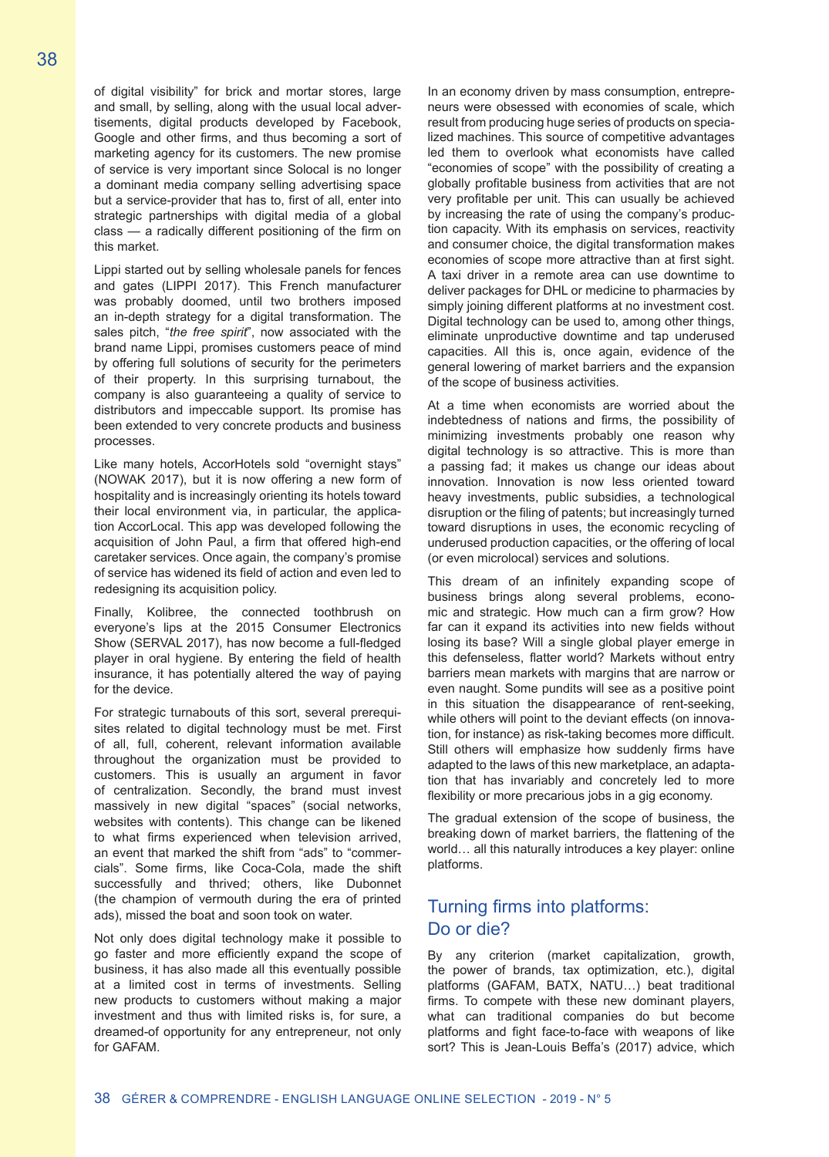of digital visibility" for brick and mortar stores, large and small, by selling, along with the usual local advertisements, digital products developed by Facebook, Google and other firms, and thus becoming a sort of marketing agency for its customers. The new promise of service is very important since Solocal is no longer a dominant media company selling advertising space but a service-provider that has to, first of all, enter into strategic partnerships with digital media of a global class — a radically different positioning of the firm on this market.

Lippi started out by selling wholesale panels for fences and gates (LIPPI 2017). This French manufacturer was probably doomed, until two brothers imposed an in-depth strategy for a digital transformation. The sales pitch, "*the free spirit*", now associated with the brand name Lippi, promises customers peace of mind by offering full solutions of security for the perimeters of their property. In this surprising turnabout, the company is also guaranteeing a quality of service to distributors and impeccable support. Its promise has been extended to very concrete products and business processes.

Like many hotels, AccorHotels sold "overnight stays" (NOWAK 2017), but it is now offering a new form of hospitality and is increasingly orienting its hotels toward their local environment via, in particular, the application AccorLocal. This app was developed following the acquisition of John Paul, a firm that offered high-end caretaker services. Once again, the company's promise of service has widened its field of action and even led to redesigning its acquisition policy.

Finally, Kolibree, the connected toothbrush on everyone's lips at the 2015 Consumer Electronics Show (SERVAL 2017), has now become a full-fledged player in oral hygiene. By entering the field of health insurance, it has potentially altered the way of paying for the device.

For strategic turnabouts of this sort, several prerequisites related to digital technology must be met. First of all, full, coherent, relevant information available throughout the organization must be provided to customers. This is usually an argument in favor of centralization. Secondly, the brand must invest massively in new digital "spaces" (social networks, websites with contents). This change can be likened to what firms experienced when television arrived, an event that marked the shift from "ads" to "commercials". Some firms, like Coca-Cola, made the shift successfully and thrived; others, like Dubonnet (the champion of vermouth during the era of printed ads), missed the boat and soon took on water.

Not only does digital technology make it possible to go faster and more efficiently expand the scope of business, it has also made all this eventually possible at a limited cost in terms of investments. Selling new products to customers without making a major investment and thus with limited risks is, for sure, a dreamed-of opportunity for any entrepreneur, not only for GAFAM.

In an economy driven by mass consumption, entrepreneurs were obsessed with economies of scale, which result from producing huge series of products on specialized machines. This source of competitive advantages led them to overlook what economists have called "economies of scope" with the possibility of creating a globally profitable business from activities that are not very profitable per unit. This can usually be achieved by increasing the rate of using the company's production capacity. With its emphasis on services, reactivity and consumer choice, the digital transformation makes economies of scope more attractive than at first sight. A taxi driver in a remote area can use downtime to deliver packages for DHL or medicine to pharmacies by simply joining different platforms at no investment cost. Digital technology can be used to, among other things, eliminate unproductive downtime and tap underused capacities. All this is, once again, evidence of the general lowering of market barriers and the expansion of the scope of business activities.

At a time when economists are worried about the indebtedness of nations and firms, the possibility of minimizing investments probably one reason why digital technology is so attractive. This is more than a passing fad; it makes us change our ideas about innovation. Innovation is now less oriented toward heavy investments, public subsidies, a technological disruption or the filing of patents; but increasingly turned toward disruptions in uses, the economic recycling of underused production capacities, or the offering of local (or even microlocal) services and solutions.

This dream of an infinitely expanding scope of business brings along several problems, economic and strategic. How much can a firm grow? How far can it expand its activities into new fields without losing its base? Will a single global player emerge in this defenseless, flatter world? Markets without entry barriers mean markets with margins that are narrow or even naught. Some pundits will see as a positive point in this situation the disappearance of rent-seeking, while others will point to the deviant effects (on innovation, for instance) as risk-taking becomes more difficult. Still others will emphasize how suddenly firms have adapted to the laws of this new marketplace, an adaptation that has invariably and concretely led to more flexibility or more precarious jobs in a gig economy.

The gradual extension of the scope of business, the breaking down of market barriers, the flattening of the world… all this naturally introduces a key player: online platforms.

## Turning firms into platforms: Do or die?

By any criterion (market capitalization, growth, the power of brands, tax optimization, etc.), digital platforms (GAFAM, BATX, NATU…) beat traditional firms. To compete with these new dominant players, what can traditional companies do but become platforms and fight face-to-face with weapons of like sort? This is Jean-Louis Beffa's (2017) advice, which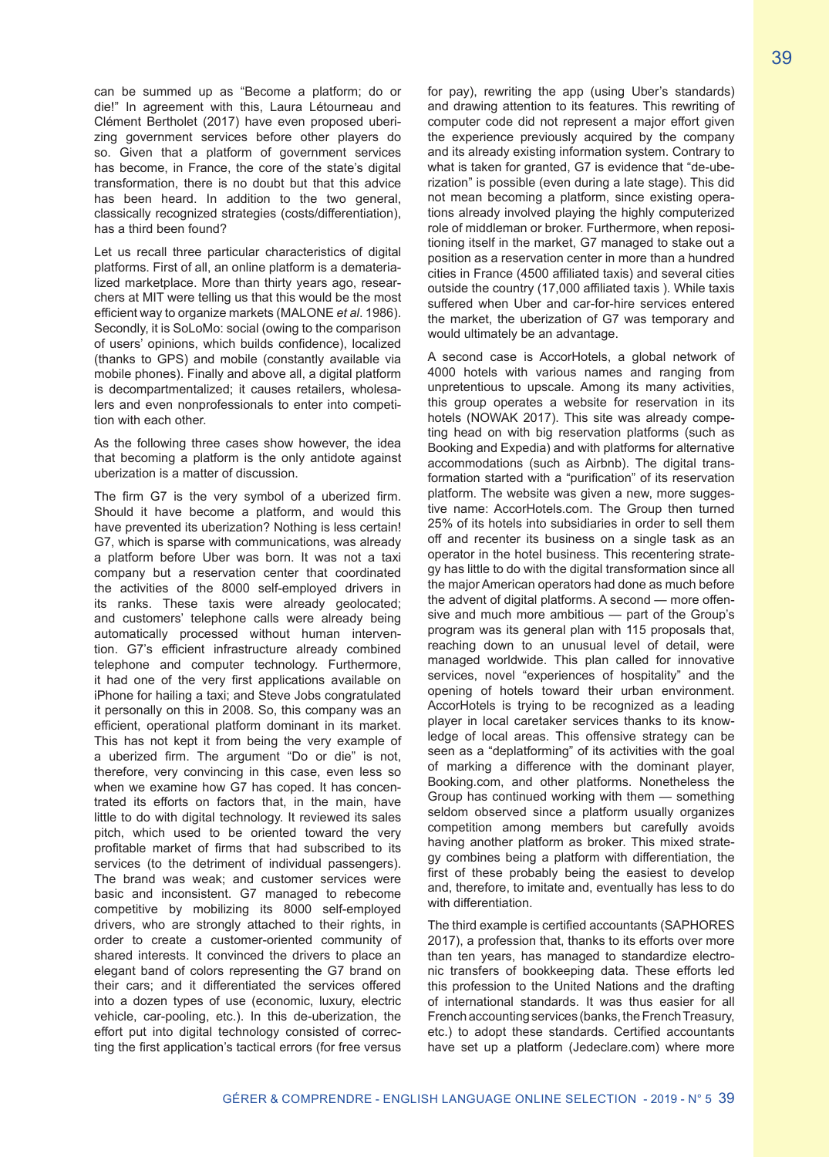can be summed up as "Become a platform; do or die!" In agreement with this, Laura Létourneau and Clément Bertholet (2017) have even proposed uberizing government services before other players do so. Given that a platform of government services has become, in France, the core of the state's digital transformation, there is no doubt but that this advice has been heard. In addition to the two general, classically recognized strategies (costs/differentiation), has a third been found?

Let us recall three particular characteristics of digital platforms. First of all, an online platform is a dematerialized marketplace. More than thirty years ago, researchers at MIT were telling us that this would be the most efficient way to organize markets (MALONE *et al*. 1986). Secondly, it is SoLoMo: social (owing to the comparison of users' opinions, which builds confidence), localized (thanks to GPS) and mobile (constantly available via mobile phones). Finally and above all, a digital platform is decompartmentalized; it causes retailers, wholesalers and even nonprofessionals to enter into competition with each other.

As the following three cases show however, the idea that becoming a platform is the only antidote against uberization is a matter of discussion.

The firm G7 is the very symbol of a uberized firm. Should it have become a platform, and would this have prevented its uberization? Nothing is less certain! G7, which is sparse with communications, was already a platform before Uber was born. It was not a taxi company but a reservation center that coordinated the activities of the 8000 self-employed drivers in its ranks. These taxis were already geolocated; and customers' telephone calls were already being automatically processed without human intervention. G7's efficient infrastructure already combined telephone and computer technology. Furthermore, it had one of the very first applications available on iPhone for hailing a taxi; and Steve Jobs congratulated it personally on this in 2008. So, this company was an efficient, operational platform dominant in its market. This has not kept it from being the very example of a uberized firm. The argument "Do or die" is not, therefore, very convincing in this case, even less so when we examine how G7 has coped. It has concentrated its efforts on factors that, in the main, have little to do with digital technology. It reviewed its sales pitch, which used to be oriented toward the very profitable market of firms that had subscribed to its services (to the detriment of individual passengers). The brand was weak; and customer services were basic and inconsistent. G7 managed to rebecome competitive by mobilizing its 8000 self-employed drivers, who are strongly attached to their rights, in order to create a customer-oriented community of shared interests. It convinced the drivers to place an elegant band of colors representing the G7 brand on their cars; and it differentiated the services offered into a dozen types of use (economic, luxury, electric vehicle, car-pooling, etc.). In this de-uberization, the effort put into digital technology consisted of correcting the first application's tactical errors (for free versus for pay), rewriting the app (using Uber's standards) and drawing attention to its features. This rewriting of computer code did not represent a major effort given the experience previously acquired by the company and its already existing information system. Contrary to what is taken for granted, G7 is evidence that "de-uberization" is possible (even during a late stage). This did not mean becoming a platform, since existing operations already involved playing the highly computerized role of middleman or broker. Furthermore, when repositioning itself in the market, G7 managed to stake out a position as a reservation center in more than a hundred cities in France (4500 affiliated taxis) and several cities outside the country (17,000 affiliated taxis ). While taxis suffered when Uber and car-for-hire services entered the market, the uberization of G7 was temporary and would ultimately be an advantage.

A second case is AccorHotels, a global network of 4000 hotels with various names and ranging from unpretentious to upscale. Among its many activities, this group operates a website for reservation in its hotels (NOWAK 2017). This site was already competing head on with big reservation platforms (such as Booking and Expedia) and with platforms for alternative accommodations (such as Airbnb). The digital transformation started with a "purification" of its reservation platform. The website was given a new, more suggestive name: AccorHotels.com. The Group then turned 25% of its hotels into subsidiaries in order to sell them off and recenter its business on a single task as an operator in the hotel business. This recentering strategy has little to do with the digital transformation since all the major American operators had done as much before the advent of digital platforms. A second — more offensive and much more ambitious — part of the Group's program was its general plan with 115 proposals that, reaching down to an unusual level of detail, were managed worldwide. This plan called for innovative services, novel "experiences of hospitality" and the opening of hotels toward their urban environment. AccorHotels is trying to be recognized as a leading player in local caretaker services thanks to its knowledge of local areas. This offensive strategy can be seen as a "deplatforming" of its activities with the goal of marking a difference with the dominant player, Booking.com, and other platforms. Nonetheless the Group has continued working with them — something seldom observed since a platform usually organizes competition among members but carefully avoids having another platform as broker. This mixed strategy combines being a platform with differentiation, the first of these probably being the easiest to develop and, therefore, to imitate and, eventually has less to do with differentiation.

The third example is certified accountants (SAPHORES 2017), a profession that, thanks to its efforts over more than ten years, has managed to standardize electronic transfers of bookkeeping data. These efforts led this profession to the United Nations and the drafting of international standards. It was thus easier for all French accounting services (banks, the French Treasury, etc.) to adopt these standards. Certified accountants have set up a platform (Jedeclare.com) where more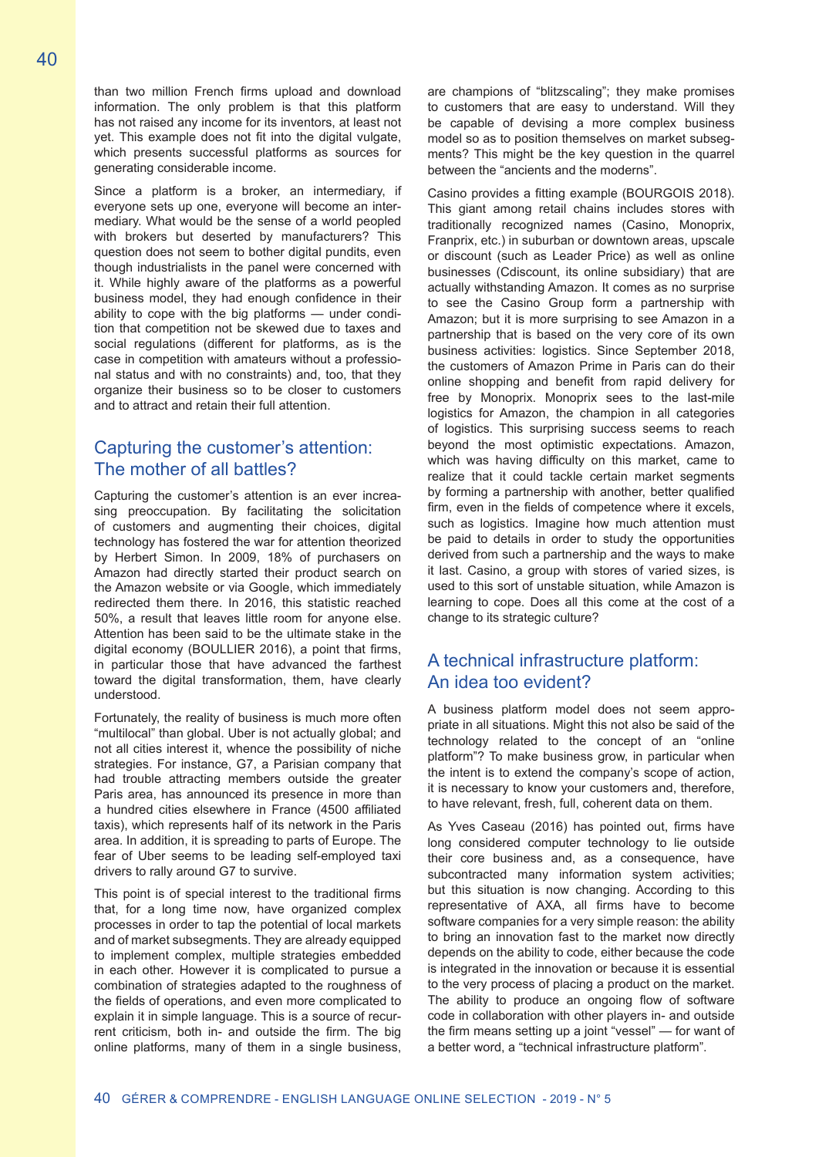than two million French firms upload and download information. The only problem is that this platform has not raised any income for its inventors, at least not yet. This example does not fit into the digital vulgate, which presents successful platforms as sources for generating considerable income.

Since a platform is a broker, an intermediary, if everyone sets up one, everyone will become an intermediary. What would be the sense of a world peopled with brokers but deserted by manufacturers? This question does not seem to bother digital pundits, even though industrialists in the panel were concerned with it. While highly aware of the platforms as a powerful business model, they had enough confidence in their ability to cope with the big platforms — under condition that competition not be skewed due to taxes and social regulations (different for platforms, as is the case in competition with amateurs without a professional status and with no constraints) and, too, that they organize their business so to be closer to customers and to attract and retain their full attention.

## Capturing the customer's attention: The mother of all battles?

Capturing the customer's attention is an ever increasing preoccupation. By facilitating the solicitation of customers and augmenting their choices, digital technology has fostered the war for attention theorized by Herbert Simon. In 2009, 18% of purchasers on Amazon had directly started their product search on the Amazon website or via Google, which immediately redirected them there. In 2016, this statistic reached 50%, a result that leaves little room for anyone else. Attention has been said to be the ultimate stake in the digital economy (BOULLIER 2016), a point that firms, in particular those that have advanced the farthest toward the digital transformation, them, have clearly understood.

Fortunately, the reality of business is much more often "multilocal" than global. Uber is not actually global; and not all cities interest it, whence the possibility of niche strategies. For instance, G7, a Parisian company that had trouble attracting members outside the greater Paris area, has announced its presence in more than a hundred cities elsewhere in France (4500 affiliated taxis), which represents half of its network in the Paris area. In addition, it is spreading to parts of Europe. The fear of Uber seems to be leading self-employed taxi drivers to rally around G7 to survive.

This point is of special interest to the traditional firms that, for a long time now, have organized complex processes in order to tap the potential of local markets and of market subsegments. They are already equipped to implement complex, multiple strategies embedded in each other. However it is complicated to pursue a combination of strategies adapted to the roughness of the fields of operations, and even more complicated to explain it in simple language. This is a source of recurrent criticism, both in- and outside the firm. The big online platforms, many of them in a single business, are champions of "blitzscaling"; they make promises to customers that are easy to understand. Will they be capable of devising a more complex business model so as to position themselves on market subsegments? This might be the key question in the quarrel between the "ancients and the moderns".

Casino provides a fitting example (BOURGOIS 2018). This giant among retail chains includes stores with traditionally recognized names (Casino, Monoprix, Franprix, etc.) in suburban or downtown areas, upscale or discount (such as Leader Price) as well as online businesses (Cdiscount, its online subsidiary) that are actually withstanding Amazon. It comes as no surprise to see the Casino Group form a partnership with Amazon; but it is more surprising to see Amazon in a partnership that is based on the very core of its own business activities: logistics. Since September 2018, the customers of Amazon Prime in Paris can do their online shopping and benefit from rapid delivery for free by Monoprix. Monoprix sees to the last-mile logistics for Amazon, the champion in all categories of logistics. This surprising success seems to reach beyond the most optimistic expectations. Amazon, which was having difficulty on this market, came to realize that it could tackle certain market segments by forming a partnership with another, better qualified firm, even in the fields of competence where it excels, such as logistics. Imagine how much attention must be paid to details in order to study the opportunities derived from such a partnership and the ways to make it last. Casino, a group with stores of varied sizes, is used to this sort of unstable situation, while Amazon is learning to cope. Does all this come at the cost of a change to its strategic culture?

## A technical infrastructure platform: An idea too evident?

A business platform model does not seem appropriate in all situations. Might this not also be said of the technology related to the concept of an "online platform"? To make business grow, in particular when the intent is to extend the company's scope of action, it is necessary to know your customers and, therefore, to have relevant, fresh, full, coherent data on them.

As Yves Caseau (2016) has pointed out, firms have long considered computer technology to lie outside their core business and, as a consequence, have subcontracted many information system activities; but this situation is now changing. According to this representative of AXA, all firms have to become software companies for a very simple reason: the ability to bring an innovation fast to the market now directly depends on the ability to code, either because the code is integrated in the innovation or because it is essential to the very process of placing a product on the market. The ability to produce an ongoing flow of software code in collaboration with other players in- and outside the firm means setting up a joint "vessel" — for want of a better word, a "technical infrastructure platform".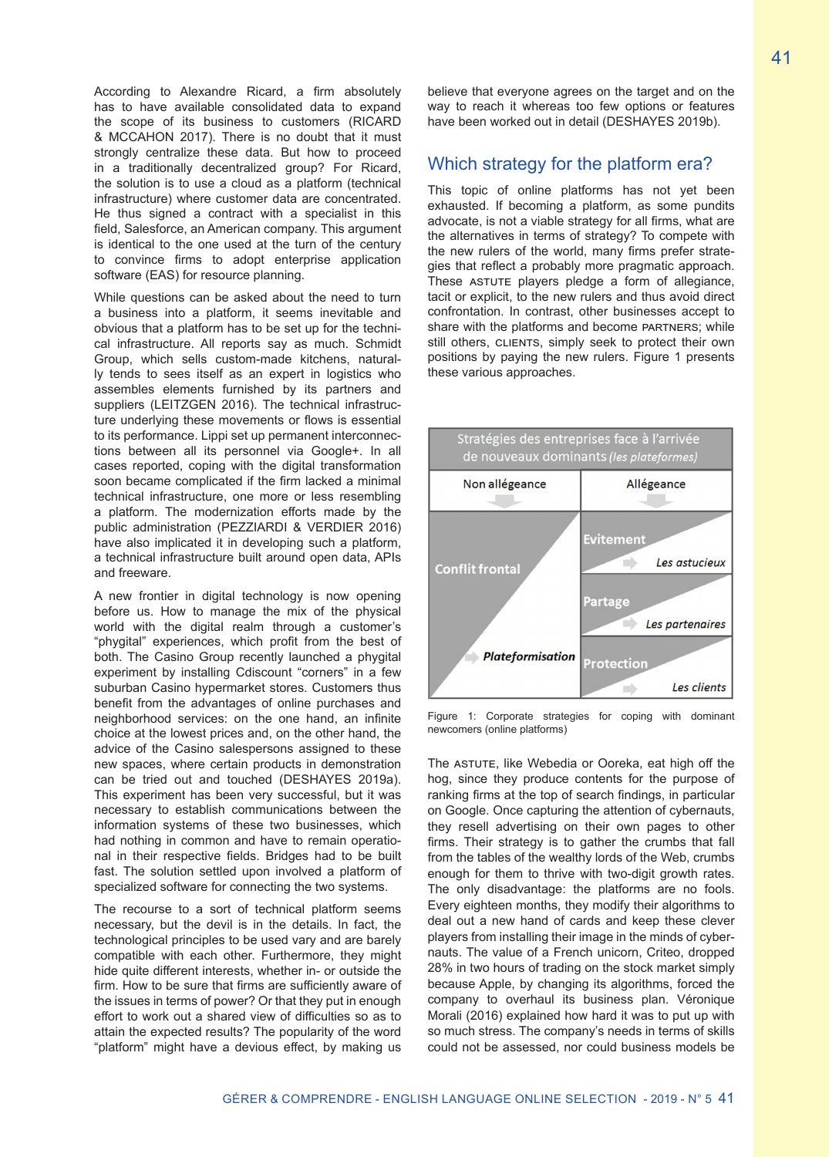According to Alexandre Ricard, a firm absolutely has to have available consolidated data to expand the scope of its business to customers (RICARD & MCCAHON 2017). There is no doubt that it must strongly centralize these data. But how to proceed in a traditionally decentralized group? For Ricard, the solution is to use a cloud as a platform (technical infrastructure) where customer data are concentrated. He thus signed a contract with a specialist in this field, Salesforce, an American company. This argument is identical to the one used at the turn of the century to convince firms to adopt enterprise application software (EAS) for resource planning.

While questions can be asked about the need to turn a business into a platform, it seems inevitable and obvious that a platform has to be set up for the technical infrastructure. All reports say as much. Schmidt Group, which sells custom-made kitchens, naturally tends to sees itself as an expert in logistics who assembles elements furnished by its partners and suppliers (LEITZGEN 2016). The technical infrastructure underlying these movements or flows is essential to its performance. Lippi set up permanent interconnections between all its personnel via Google+. In all cases reported, coping with the digital transformation soon became complicated if the firm lacked a minimal technical infrastructure, one more or less resembling a platform. The modernization efforts made by the public administration (PEZZIARDI & VERDIER 2016) have also implicated it in developing such a platform, a technical infrastructure built around open data, APIs and freeware.

A new frontier in digital technology is now opening before us. How to manage the mix of the physical world with the digital realm through a customer's "phygital" experiences, which profit from the best of both. The Casino Group recently launched a phygital experiment by installing Cdiscount "corners" in a few suburban Casino hypermarket stores. Customers thus benefit from the advantages of online purchases and neighborhood services: on the one hand, an infinite choice at the lowest prices and, on the other hand, the advice of the Casino salespersons assigned to these new spaces, where certain products in demonstration can be tried out and touched (DESHAYES 2019a). This experiment has been very successful, but it was necessary to establish communications between the information systems of these two businesses, which had nothing in common and have to remain operational in their respective fields. Bridges had to be built fast. The solution settled upon involved a platform of specialized software for connecting the two systems.

The recourse to a sort of technical platform seems necessary, but the devil is in the details. In fact, the technological principles to be used vary and are barely compatible with each other. Furthermore, they might hide quite different interests, whether in- or outside the firm. How to be sure that firms are sufficiently aware of the issues in terms of power? Or that they put in enough effort to work out a shared view of difficulties so as to attain the expected results? The popularity of the word "platform" might have a devious effect, by making us believe that everyone agrees on the target and on the way to reach it whereas too few options or features have been worked out in detail (DESHAYES 2019b).

#### Which strategy for the platform era?

This topic of online platforms has not yet been exhausted. If becoming a platform, as some pundits advocate, is not a viable strategy for all firms, what are the alternatives in terms of strategy? To compete with the new rulers of the world, many firms prefer strategies that reflect a probably more pragmatic approach. These ASTUTE players pledge a form of allegiance, tacit or explicit, to the new rulers and thus avoid direct confrontation. In contrast, other businesses accept to share with the platforms and become partners; while still others, CLIENTS, simply seek to protect their own positions by paying the new rulers. Figure 1 presents these various approaches.



Figure 1: Corporate strategies for coping with dominant newcomers (online platforms)

The ASTUTE, like Webedia or Ooreka, eat high off the hog, since they produce contents for the purpose of ranking firms at the top of search findings, in particular on Google. Once capturing the attention of cybernauts, they resell advertising on their own pages to other firms. Their strategy is to gather the crumbs that fall from the tables of the wealthy lords of the Web, crumbs enough for them to thrive with two-digit growth rates. The only disadvantage: the platforms are no fools. Every eighteen months, they modify their algorithms to deal out a new hand of cards and keep these clever players from installing their image in the minds of cybernauts. The value of a French unicorn, Criteo, dropped 28% in two hours of trading on the stock market simply because Apple, by changing its algorithms, forced the company to overhaul its business plan. Véronique Morali (2016) explained how hard it was to put up with so much stress. The company's needs in terms of skills could not be assessed, nor could business models be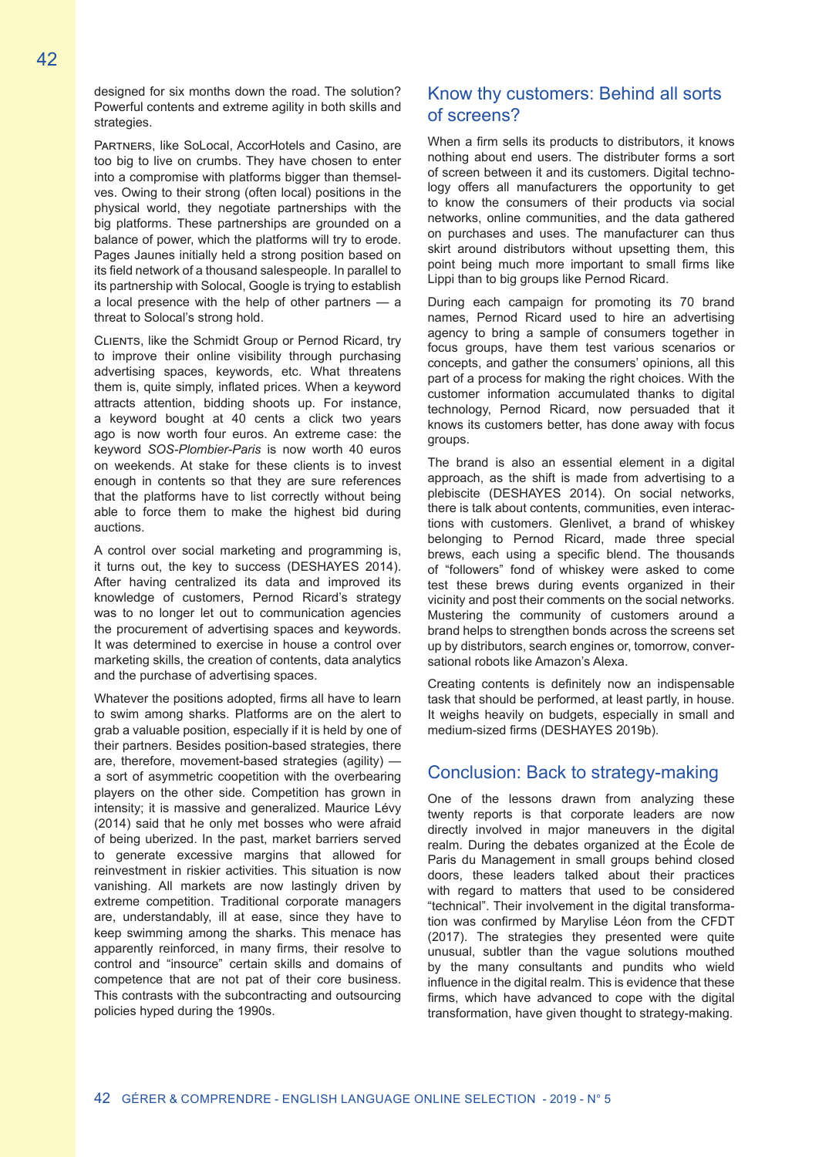designed for six months down the road. The solution? Powerful contents and extreme agility in both skills and strategies.

Partners, like SoLocal, AccorHotels and Casino, are too big to live on crumbs. They have chosen to enter into a compromise with platforms bigger than themselves. Owing to their strong (often local) positions in the physical world, they negotiate partnerships with the big platforms. These partnerships are grounded on a balance of power, which the platforms will try to erode. Pages Jaunes initially held a strong position based on its field network of a thousand salespeople. In parallel to its partnership with Solocal, Google is trying to establish a local presence with the help of other partners — a threat to Solocal's strong hold.

Clients, like the Schmidt Group or Pernod Ricard, try to improve their online visibility through purchasing advertising spaces, keywords, etc. What threatens them is, quite simply, inflated prices. When a keyword attracts attention, bidding shoots up. For instance, a keyword bought at 40 cents a click two years ago is now worth four euros. An extreme case: the keyword *SOS-Plombier-Paris* is now worth 40 euros on weekends. At stake for these clients is to invest enough in contents so that they are sure references that the platforms have to list correctly without being able to force them to make the highest bid during auctions.

A control over social marketing and programming is, it turns out, the key to success (DESHAYES 2014). After having centralized its data and improved its knowledge of customers, Pernod Ricard's strategy was to no longer let out to communication agencies the procurement of advertising spaces and keywords. It was determined to exercise in house a control over marketing skills, the creation of contents, data analytics and the purchase of advertising spaces.

Whatever the positions adopted, firms all have to learn to swim among sharks. Platforms are on the alert to grab a valuable position, especially if it is held by one of their partners. Besides position-based strategies, there are, therefore, movement-based strategies (agility) a sort of asymmetric coopetition with the overbearing players on the other side. Competition has grown in intensity; it is massive and generalized. Maurice Lévy (2014) said that he only met bosses who were afraid of being uberized. In the past, market barriers served to generate excessive margins that allowed for reinvestment in riskier activities. This situation is now vanishing. All markets are now lastingly driven by extreme competition. Traditional corporate managers are, understandably, ill at ease, since they have to keep swimming among the sharks. This menace has apparently reinforced, in many firms, their resolve to control and "insource" certain skills and domains of competence that are not pat of their core business. This contrasts with the subcontracting and outsourcing policies hyped during the 1990s.

## Know thy customers: Behind all sorts of screens?

When a firm sells its products to distributors, it knows nothing about end users. The distributer forms a sort of screen between it and its customers. Digital technology offers all manufacturers the opportunity to get to know the consumers of their products via social networks, online communities, and the data gathered on purchases and uses. The manufacturer can thus skirt around distributors without upsetting them, this point being much more important to small firms like Lippi than to big groups like Pernod Ricard.

During each campaign for promoting its 70 brand names, Pernod Ricard used to hire an advertising agency to bring a sample of consumers together in focus groups, have them test various scenarios or concepts, and gather the consumers' opinions, all this part of a process for making the right choices. With the customer information accumulated thanks to digital technology, Pernod Ricard, now persuaded that it knows its customers better, has done away with focus groups.

The brand is also an essential element in a digital approach, as the shift is made from advertising to a plebiscite (DESHAYES 2014). On social networks, there is talk about contents, communities, even interactions with customers. Glenlivet, a brand of whiskey belonging to Pernod Ricard, made three special brews, each using a specific blend. The thousands of "followers" fond of whiskey were asked to come test these brews during events organized in their vicinity and post their comments on the social networks. Mustering the community of customers around a brand helps to strengthen bonds across the screens set up by distributors, search engines or, tomorrow, conversational robots like Amazon's Alexa.

Creating contents is definitely now an indispensable task that should be performed, at least partly, in house. It weighs heavily on budgets, especially in small and medium-sized firms (DESHAYES 2019b).

#### Conclusion: Back to strategy-making

One of the lessons drawn from analyzing these twenty reports is that corporate leaders are now directly involved in major maneuvers in the digital realm. During the debates organized at the École de Paris du Management in small groups behind closed doors, these leaders talked about their practices with regard to matters that used to be considered "technical". Their involvement in the digital transformation was confirmed by Marylise Léon from the CFDT (2017). The strategies they presented were quite unusual, subtler than the vague solutions mouthed by the many consultants and pundits who wield influence in the digital realm. This is evidence that these firms, which have advanced to cope with the digital transformation, have given thought to strategy-making.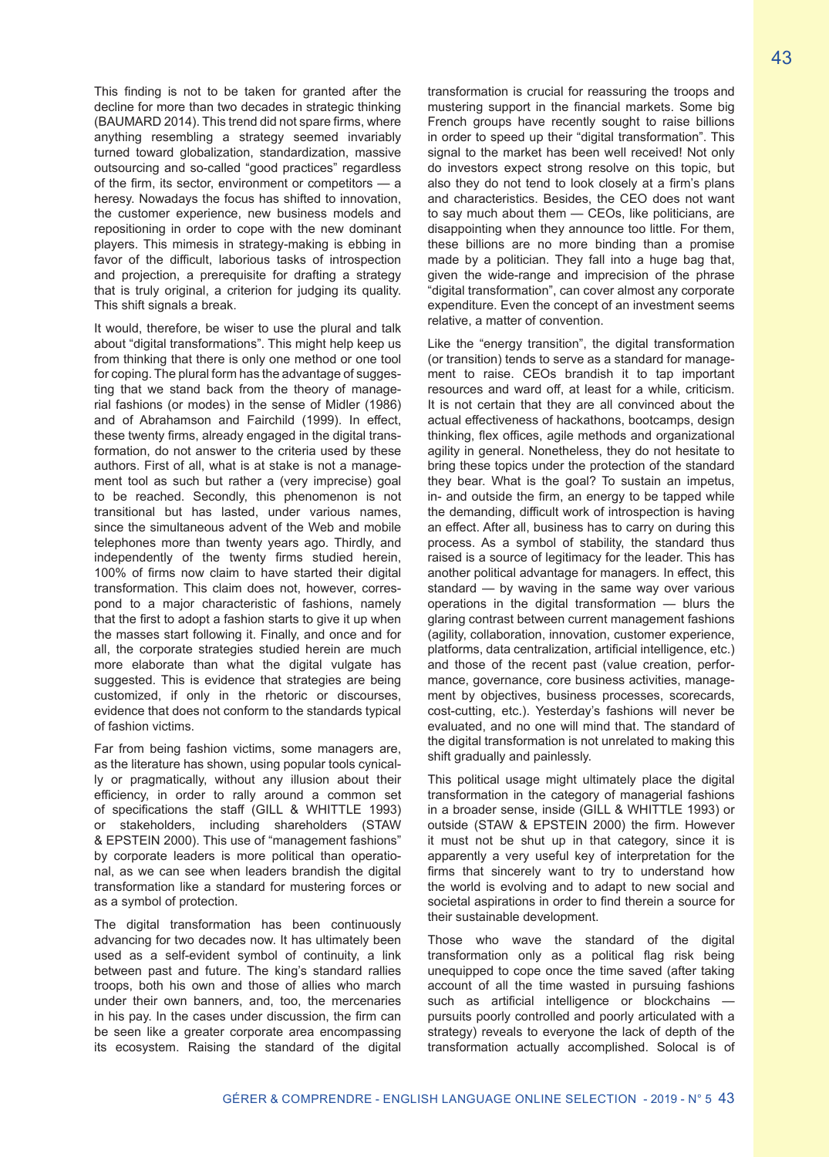This finding is not to be taken for granted after the decline for more than two decades in strategic thinking (BAUMARD 2014). This trend did not spare firms, where anything resembling a strategy seemed invariably turned toward globalization, standardization, massive outsourcing and so-called "good practices" regardless of the firm, its sector, environment or competitors — a heresy. Nowadays the focus has shifted to innovation, the customer experience, new business models and repositioning in order to cope with the new dominant players. This mimesis in strategy-making is ebbing in favor of the difficult, laborious tasks of introspection and projection, a prerequisite for drafting a strategy that is truly original, a criterion for judging its quality. This shift signals a break.

It would, therefore, be wiser to use the plural and talk about "digital transformations". This might help keep us from thinking that there is only one method or one tool for coping. The plural form has the advantage of suggesting that we stand back from the theory of managerial fashions (or modes) in the sense of Midler (1986) and of Abrahamson and Fairchild (1999). In effect, these twenty firms, already engaged in the digital transformation, do not answer to the criteria used by these authors. First of all, what is at stake is not a management tool as such but rather a (very imprecise) goal to be reached. Secondly, this phenomenon is not transitional but has lasted, under various names, since the simultaneous advent of the Web and mobile telephones more than twenty years ago. Thirdly, and independently of the twenty firms studied herein, 100% of firms now claim to have started their digital transformation. This claim does not, however, correspond to a major characteristic of fashions, namely that the first to adopt a fashion starts to give it up when the masses start following it. Finally, and once and for all, the corporate strategies studied herein are much more elaborate than what the digital vulgate has suggested. This is evidence that strategies are being customized, if only in the rhetoric or discourses, evidence that does not conform to the standards typical of fashion victims.

Far from being fashion victims, some managers are, as the literature has shown, using popular tools cynically or pragmatically, without any illusion about their efficiency, in order to rally around a common set of specifications the staff (GILL & WHITTLE 1993) or stakeholders, including shareholders (STAW & EPSTEIN 2000). This use of "management fashions" by corporate leaders is more political than operational, as we can see when leaders brandish the digital transformation like a standard for mustering forces or as a symbol of protection.

The digital transformation has been continuously advancing for two decades now. It has ultimately been used as a self-evident symbol of continuity, a link between past and future. The king's standard rallies troops, both his own and those of allies who march under their own banners, and, too, the mercenaries in his pay. In the cases under discussion, the firm can be seen like a greater corporate area encompassing its ecosystem. Raising the standard of the digital transformation is crucial for reassuring the troops and mustering support in the financial markets. Some big French groups have recently sought to raise billions in order to speed up their "digital transformation". This signal to the market has been well received! Not only do investors expect strong resolve on this topic, but also they do not tend to look closely at a firm's plans and characteristics. Besides, the CEO does not want to say much about them — CEOs, like politicians, are disappointing when they announce too little. For them, these billions are no more binding than a promise made by a politician. They fall into a huge bag that, given the wide-range and imprecision of the phrase "digital transformation", can cover almost any corporate expenditure. Even the concept of an investment seems relative, a matter of convention.

Like the "energy transition", the digital transformation (or transition) tends to serve as a standard for management to raise. CEOs brandish it to tap important resources and ward off, at least for a while, criticism. It is not certain that they are all convinced about the actual effectiveness of hackathons, bootcamps, design thinking, flex offices, agile methods and organizational agility in general. Nonetheless, they do not hesitate to bring these topics under the protection of the standard they bear. What is the goal? To sustain an impetus, in- and outside the firm, an energy to be tapped while the demanding, difficult work of introspection is having an effect. After all, business has to carry on during this process. As a symbol of stability, the standard thus raised is a source of legitimacy for the leader. This has another political advantage for managers. In effect, this standard — by waving in the same way over various operations in the digital transformation — blurs the glaring contrast between current management fashions (agility, collaboration, innovation, customer experience, platforms, data centralization, artificial intelligence, etc.) and those of the recent past (value creation, performance, governance, core business activities, management by objectives, business processes, scorecards, cost-cutting, etc.). Yesterday's fashions will never be evaluated, and no one will mind that. The standard of the digital transformation is not unrelated to making this shift gradually and painlessly.

This political usage might ultimately place the digital transformation in the category of managerial fashions in a broader sense, inside (GILL & WHITTLE 1993) or outside (STAW & EPSTEIN 2000) the firm. However it must not be shut up in that category, since it is apparently a very useful key of interpretation for the firms that sincerely want to try to understand how the world is evolving and to adapt to new social and societal aspirations in order to find therein a source for their sustainable development.

Those who wave the standard of the digital transformation only as a political flag risk being unequipped to cope once the time saved (after taking account of all the time wasted in pursuing fashions such as artificial intelligence or blockchains pursuits poorly controlled and poorly articulated with a strategy) reveals to everyone the lack of depth of the transformation actually accomplished. Solocal is of